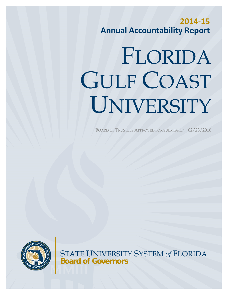**2014‐15 Annual Accountability Report**

# FLORIDA GULF COAST UNIVERSITY

BOARD OF TRUSTEES APPROVED FOR SUBMISSION 02/23/2016



STATE UNIVERSITY SYSTEM *of* FLORIDA **Board of Governors**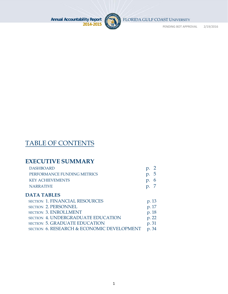

FLORIDA GULF COAST UNIVERSITY

PENDING BOT APPROVAL 2/19/2016

# TABLE OF CONTENTS

# **EXECUTIVE SUMMARY**

| p.5 |
|-----|
| p.6 |
|     |
|     |

# **DATA TABLES**

| SECTION 1. FINANCIAL RESOURCES             | p. 13 |
|--------------------------------------------|-------|
| SECTION 2. PERSONNEL                       | p. 17 |
| <b>SECTION 3. ENROLLMENT</b>               | p. 18 |
| <b>SECTION 4. UNDERGRADUATE EDUCATION</b>  | p. 22 |
| <b>SECTION 5. GRADUATE EDUCATION</b>       | p. 31 |
| SECTION 6. RESEARCH & ECONOMIC DEVELOPMENT | p. 34 |
|                                            |       |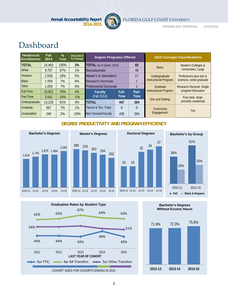

FLORIDA GULF COAST UNIVERSITY

PENDING BOT APPROVAL 2/19/2016

# Dashboard

| Headcount<br><b>Enrollments</b> | <b>Fall</b><br>2014 | $\frac{9}{6}$<br><b>Total</b> | 2013-2014<br>% Change | <b>Degree Programs Offered</b> |       |             |                        | <b>2015 Carnegie Classifications</b> |
|---------------------------------|---------------------|-------------------------------|-----------------------|--------------------------------|-------|-------------|------------------------|--------------------------------------|
| <b>TOTAL</b>                    | 14.463              | 100%                          | 3%                    | TOTAL (as of Spring 2015)      |       | 65          | Basic:                 | Master's Colleges &                  |
| <b>White</b>                    | 9.707               | 67%                           | 1%                    | <b>Baccalaureate</b>           |       | 46          |                        | <b>Universities: Large</b>           |
| <b>Hispanic</b>                 | 2,638               | 18%                           | 5%                    | Master's & Specialist's        |       | 17          | Undergraduate          | Professions plus arts &              |
| <b>Black</b>                    | 1.059               | 7%                            | 8%                    | Research Doctorate             |       |             | Instructional Program: | sciences, some graduate              |
| <b>Other</b>                    | 1.059               | 7%                            | 6%                    | <b>Professional Doctorate</b>  |       |             | Graduate               | <b>Research Doctoral: Single</b>     |
| <b>Full-Time</b>                | 10,921              | 76%                           | 4%                    | <b>Faculty</b>                 | Full- | Part-       | Instructional Program: | program-Education                    |
| <b>Part-Time</b>                | 3.542               | 24%                           | $-1%$                 | (Fall 2014)                    | Time  | <b>Time</b> | Size and Setting:      | Four-year, large,                    |
| Undergraduate                   | 13.226              | 91%                           | 4%                    | <b>TOTAL</b>                   | 447   | 264         |                        | primarily residential                |
| Graduate                        | 997                 | 7%                            | 1%                    | Tenure & Ten. Track            | 8     | $\theta$    | Community              |                                      |
| Unclassified                    | 240                 | 2%                            | $-23%$                | Non-Tenured Faculty            | 439   | 264         | Engagement:            | Yes.                                 |

#### **DEGREE PRODUCTIVITY AND PROGRAM EFFICIENCY**

302







**Bachelor's Degrees Without Excess Hours**

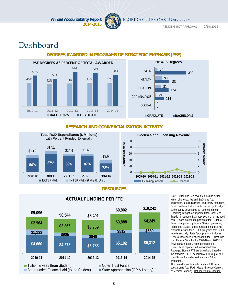

FLORIDA GULF COAST UNIVERSITY

PENDING BOT APPROVAL 2/19/2016

# Dashboard

#### **DEGREES AWARDED IN PROGRAMS OF STRATEGIC EMPHASIS (PSE)**  45% 42% 42% 44% 45% 45% 45% 59% 53% 66% 64% 60% 2010‐11 2011‐12 2012‐13 2013‐14 2014‐15 **BACHELOR'S** GRADUATE **PSE DEGREES AS PERCENT OF TOTAL AWARDED**  $\overline{\mathcal{L}}$ 114 174 182 390 0 23 81 93 37 GLOBAL GAP ANALYSIS EDUCATION HEALTH **STEM GRADUATE BACHELOR'S 2014-15 Degrees**

#### **RESEARCH AND COMMERCIALIZATION ACTIVITY**



#### **RESOURCES**



**ACTUAL FUNDING PER FTE**<br> **ACTUAL FUNDING PER FTE** Note: Tuition differential fee and F&G fees (i.e., tuition differential fee and E&G fees (i.e., application, late registration, and library fees/fines) based on the actual amount collected (not budget authority) by universities as reported in their Operating Budget 625 reports. Other local fees that do not support E&G activities are not included here. Please note that a portion of the Tuition & Fees is supported by federal SFA programs (ie, Pell grants). State-funded Student Financial Aid amounts include the 11 SFA programs that OSFA reports annually. State Appropriations includes General Revenues, Lottery and Other Trust funds (i.e., Federal Stimulus for 2009-10 and 2010-11 only) that are directly appropriated to the university as reported in Final Amendment Package. Student FTE are actual and based on the standard IPEDS definition of FTE (equal to 30 credit hours for undergraduates and 24 for graduates).

This data does not include funds or FTE from special units (i.e., IFAS, Health-Science Centers or Medical Schools). Not adjusted for inflation.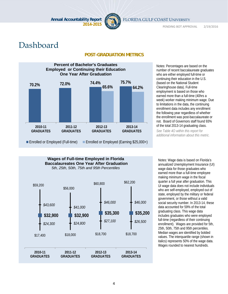

FLORIDA GULF COAST UNIVERSITY

PENDING BOT APPROVAL 2/19/2016

# Dashboard

#### **POST-GRADUATION METRICS**



Notes: Percentages are based on the number of recent baccalaureate graduates who are either employed full-time or continuing their education in the U.S. (based on the National Student Clearinghouse data). Full-time employment is based on those who earned more than a full-time (40hrs a week) worker making minimum wage. Due to limitations in the data, the continuing enrollment data includes any enrollment the following year regardless of whether the enrollment was post-baccalaureate or not. Board of Governors staff found 93% of the total 2013-14 graduating class.

*See Table 4O within this report for additional information about this metric.* 

#### **Wages of Full-time Employed in Florida Baccalaureates One Year After Graduation** *5th, 25th, 50th, 75th and 95th Percentiles*



Notes: Wage data is based on Florida's annualized Unemployment Insurance (UI) wage data for those graduates who earned more than a full-time employee making minimum wage in the fiscal quarter a full year after graduation. This UI wage data does not include individuals who are self-employed, employed out of state, employed by the military or federal government, or those without a valid social security number. In 2013-14, these data accounted for 59% of the total graduating class. This wage data includes graduates who were employed full-time (regardless of their continuing enrollment). Wages are provided for 5th, 25th, 50th, 75th and 95th percentiles. Median wages are identified by bolded values. The interquartile range (shown in italics) represents 50% of the wage data. Wages rounded to nearest hundreds.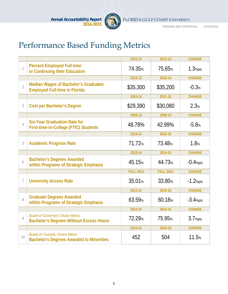

# Performance Based Funding Metrics

|                |                                                                                            | 2012-13            | 2013-14          | <b>CHANGE</b>       |
|----------------|--------------------------------------------------------------------------------------------|--------------------|------------------|---------------------|
| 1              | <b>Percent Employed Full-time</b><br>or Continuing their Education                         | 74.35%             | 75.65%           | 1.3 <sub>%pts</sub> |
|                |                                                                                            | 2012-13            | 2013-14          | <b>CHANGE</b>       |
| $\overline{2}$ | <b>Median Wages of Bachelor's Graduates</b><br><b>Employed Full-time in Florida</b>        | \$35,300           | \$35,200         | $-0.3%$             |
|                |                                                                                            | 2010-14            | 2011-15          | <b>CHANGE</b>       |
| 3              | <b>Cost per Bachelor's Degree</b>                                                          | \$29,390           | \$30,080         | 2.3%                |
|                |                                                                                            | 2008-14            | 2009-15          | <b>CHANGE</b>       |
| 4              | <b>Six-Year Graduation Rate for</b><br>First-time-in-College (FTIC) Students               | 48.78%             | 42.99%           | $-5.8%$             |
|                |                                                                                            | 2013-14            | 2014-15          | <b>CHANGE</b>       |
| 5              | <b>Academic Progress Rate</b>                                                              | 71.72%             | 73.48%           | 1.8%                |
|                |                                                                                            | 2013-14            | 2014-15          | <b>CHANGE</b>       |
| 6              | <b>Bachelor's Degrees Awarded</b><br>within Programs of Strategic Emphasis                 | 45.15%             | 44.73%           | $-0.4%pts$          |
|                |                                                                                            | <b>FALL 2013</b>   | <b>FALL 2014</b> | <b>CHANGE</b>       |
| 7              | <b>University Access Rate</b>                                                              | 35.01 <sub>%</sub> | 33.80%           | $-1.2%$ pts         |
|                |                                                                                            | 2013-14            | 2014-15          | <b>CHANGE</b>       |
| 8              | <b>Graduate Degrees Awarded</b><br>within Programs of Strategic Emphasis                   | 63.59%             | 60.18%           | $-3.4%pts$          |
|                |                                                                                            | 2013-14            | 2014-15          | <b>CHANGE</b>       |
| 9              | <b>Board of Governors Choice Metric:</b><br><b>Bachelor's Degrees Without Excess Hours</b> | 72.29%             | 75.95%           | 3.7 <sub>%pts</sub> |
|                |                                                                                            | 2013-14            | 2014-15          | <b>CHANGE</b>       |
| 10             | <b>Board of Trustees Choice Metric:</b><br><b>Bachelor's Degrees Awarded to Minorities</b> | 452                | 504              | 11.5%               |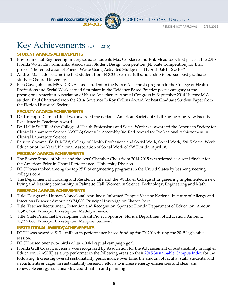

FLORIDA GULF COAST UNIVERSITY

# Key Achievements (2014-2015)

#### **STUDENT AWARDS/ACHIEVEMENTS**

- 1. Environmental Engineering undergraduate students Max Goodacre and Erik Mead took first place at the 2015 Florida Water Environmental Association Student Design Competition (FL State Competition) for their project "Bioremediation of Phenol Waste Using Activated Sludge in a Hybrid-Batch Reactor"
- 2. Andres Machado became the first student from FGCU to earn a full scholarship to pursue post-graduate study at Oxford University.
- 3. Peta Gaye Johnson, MSN, CRNA as a student in the Nurse Anesthesia program in the College of Health Professions and Social Work earned first place in the Evidence Based Practice poster category at the prestigious American Association of Nurse Anesthetists Annual Congress in September 2014.History M.A. student Paul Chartrand won the 2014 Governor LeRoy Collins Award for best Graduate Student Paper from the Florida Historical Society.

#### **FACULTY AWARDS/ACHIEVEMENTS**

- 1. Dr. Kristoph-Dietrich Kinzli was awarded the national American Society of Civil Engineering New Faculty Excellence in Teaching Award
- 2. Dr. Hallie St. Hill of the College of Health Professions and Social Work was awarded the American Society for Clinical Laboratory Science (ASCLS) Scientific Assembly Bio-Rad Award for Professional Achievement in Clinical Laboratory Science
- 3. Patricia Cocoma, Ed.D, MSW, College of Health Professions and Social Work, Social Work, "2015 Social Work Educator of the Year", National Association of Social Work of SW Florida, April 18.

**PROGRAM AWARDS/ACHIEVEMENTS**

- 1. The Bower School of Music and the Arts' Chamber Choir from 2014-2015 was selected as a semi-finalist for the American Prize in Choral Performance - University Division
- 2. FGCU was ranked among the top 25% of engineering programs in the United States by best-engineering colleges.com
- 3. The Department of Housing and Residence Life and the Whitaker College of Engineering implemented a new living and learning community in Palmetto Hall: Women in Science, Technology, Engineering and Math. **RESEARCH AWARDS/ACHIEVEMENTS**
- 1. Title: Design of a Human Monoclonal Anti-body-Informed Dengue Vaccine National Institute of Allergy and Infectious Disease; Amount: \$674,030. Principal Investigator: Sharon Isern.
- 2. Title: Teacher Recruitment, Retention and Recognition. Sponsor: Florida Department of Education; Amount: \$1,496,364. Principal Investigator: Madelyn Isaacs.
- 3. Title: State Personnel Development Grant Project. Sponsor: Florida Department of Education. Amount: \$1,277,060. Principal Investigator: Margaret Sullivan.

#### **INSTITUTIONAL AWARDS/ACHIEVEMENTS**

- 1. FGCU was awarded \$13.1 million in performance-based funding for FY 2016 during the 2015 legislative session.
- 2. FGCU raised over two-thirds of its \$100M capital campaign goal.
- 3. Florida Gulf Coast University was recognized by Association for the Advancement of Sustainability in Higher Education (AASHE) as a top performer in the following areas on their 2015 Sustainable Campus Index for the following: Increasing overall sustainability performance over time; the amount of faculty, staff, students, and departments engaged in sustainability research; efforts to increase energy efficiencies and clean and renewable energy; sustainability coordination and planning.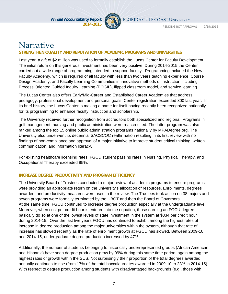

FLORIDA GULF COAST UNIVERSITY

PENDING BOT APPROVAL 2/19/2016

# Narrative

#### **STRENGTHEN QUALITY AND REPUTATION OF ACADEMIC PROGRAMS AND UNIVERSITIES**

Last year, a gift of \$2 million was used to formally establish the Lucas Center for Faculty Development. The initial return on this generous investment has been very positive. During 2014-2015 the Center carried out a wide range of programming intended to support faculty. Programming included the New Faculty Academy, which is required of all faculty with less than two years teaching experience; Course Design Academy, and Faculty Learning Communities in innovative methods of instruction including Process Oriented Guided Inquiry Learning (POGIL), flipped classroom model, and service learning.

The Lucas Center also offers Early/Mid-Career and Established Career Academies that address pedagogy, professional development and personal goals. Center registration exceeded 300 last year. In its brief history, the Lucas Center is making a name for itself having recently been recognized nationally for its programming to enhance faculty instruction and scholarship.

The University received further recognition from accreditors both specialized and regional. Programs in golf management, nursing and public administration were reaccredited. The latter program was also ranked among the top 15 online public administration programs nationally by MPADegree.org. The University also underwent its decennial SACSCOC reaffirmation resulting in its first review with no findings of non-compliance and approval of a major initiative to improve student critical thinking, written communication, and information literacy.

For existing healthcare licensing rates, FGCU student passing rates in Nursing, Physical Therapy, and Occupational Therapy exceeded 95%.

#### **INCREASE DEGREE PRODUCTIVITY AND PROGRAM EFFICIENCY**

The University Board of Trustees conducted a major review of academic programs to ensure programs were providing an appropriate return on the university's allocation of resources. Enrollments, degrees awarded, and productivity measures were used in the review. The Trustees took action on 38 majors and seven programs were formally terminated by the UBOT and then the Board of Governors. At the same time, FGCU continued to increase degree production especially at the undergraduate level. Moreover, when cost per credit hour is entered into the equation, those earning an FGCU degree basically do so at one of the lowest levels of state investment in the system at \$334 per credit hour during 2014-15. Over the last five years FGCU has continued to exhibit among the highest rates of increase in degree production among the major universities within the system, although that rate of increase has slowed recently as the rate of enrollment growth at FGCU has slowed. Between 2009-10 and 2014-15, undergraduate degree production increased by 47%.

Additionally, the number of students belonging to historically underrepresented groups (African American and Hispanic) have seen degree production grow by 99% during this same time period, again among the highest rates of growth within the SUS. Not surprisingly their proportion of the total degrees awarded annually continues to rise (from 17% of the total baccalaureates awarded in 2009-10 to 23% in 2014-15). With respect to degree production among students with disadvantaged backgrounds (e.g., those with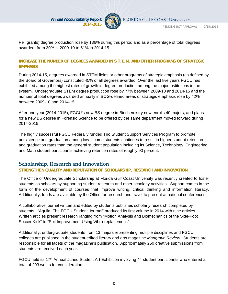

Pell grants) degree production rose by 136% during this period and as a percentage of total degrees awarded, from 30% in 2009-10 to 51% in 2014-15.

#### **INCREASE THE NUMBER OF DEGREES AWARDED IN S.T.E.M. AND OTHER PROGRAMS OF STRATEGIC EMPHASIS**

During 2014-15, degrees awarded in STEM fields or other programs of strategic emphasis (as defined by the Board of Governors) constituted 45% of all degrees awarded. Over the last five years FGCU has exhibited among the highest rates of growth in degree production among the major institutions in the system. Undergraduate STEM degree production rose by 77% between 2009-10 and 2014-15 and the number of total degrees awarded annually in BOG-defined areas of strategic emphasis rose by 42% between 2009-10 and 2014-15.

After one year (2014-2015), FGCU's new BS degree in Biochemistry now enrolls 40 majors, and plans for a new BS degree in Forensic Science to be offered by the same department moved forward during 2014-2015.

The highly successful FGCU Federally funded Trio Student Support Services Program to promote persistence and graduation among low-income students continues to result in higher student retention and graduation rates than the general student population including its Science, Technology, Engineering, and Math student participants achieving retention rates of roughly 90 percent.

# **Scholarship, Research and Innovation**

#### **STRENGTHEN QUALITY AND REPUTATION OF SCHOLARSHIP, RESEARCH AND INNOVATION**

The Office of Undergraduate Scholarship at Florida Gulf Coast University was recently created to foster students as scholars by supporting student research and other scholarly activities. Support comes in the form of the development of courses that improve writing, critical thinking and information literacy. Additionally, funds are available by the Office for research and travel to present at national conferences.

A collaborative journal written and edited by students publishes scholarly research completed by students. "Aquila: The FGCU Student Journal" produced its first volume in 2014 with nine articles. Written articles present research ranging from "Motion Analysis and Biomechanics of the Side-Foot Soccer Kick" to "Soil Improvement Using Vibro-replacement."

Additionally, undergraduate students from 13 majors representing multiple disciplines and FGCU colleges are published in the student-edited literary and arts magazine *Mangrove Review*. Students are responsible for all facets of the magazine's publication. Approximately 250 creative submissions from students are received each year.

FGCU held its 17<sup>th</sup> Annual Juried Student Art Exhibition involving 44 student participants who entered a total of 203 works for consideration.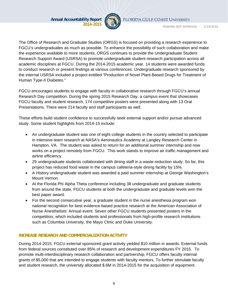

FLORIDA GULF COAST UNIVERSITY

PENDING BOT APPROVAL 2/19/2016

The Office of Research and Graduate Studies (ORGS) is focused on providing a research experience to FGCU's undergraduates as much as possible. To enhance the possibility of such collaboration and make the experience available to more students, ORGS continues to provide the Undergraduate Student Research Support Award (USRSA) to promote undergraduate student research participation across all academic disciplines at FGCU. During the 2014-2015 academic year, 14 students were awarded funds to conduct research or present findings at various conferences. Undergraduate research sponsored by the internal USRSA included a project entitled "Production of Novel Plant-Based Drugs for Treatment of Human Type-II Diabetes."

FGCU encourages students to engage with faculty in collaborative research through FGCU's annual Research Day competition. During the spring 2015 Research Day, a campus event that showcases FGCU faculty and student research, 174 competitive posters were presented along with 13 Oral Presentations. There were 214 faculty and staff participants as well.

These efforts build student confidence to successfully seek external support and/or pursue advanced study. Some student highlights from 2014-15 include:

- An undergraduate student was one of eight college students in the country selected to participate in intensive team research at NASA's Aeronautics Academy at Langley Research Center in Hampton, VA. The student was asked to return for an additional summer internship and now works on a project remotely from FGCU. This work stands to improve air traffic management and airline efficiency.
- 29 undergraduate students collaborated with dining staff in a waste-reduction study. So far, this project has reduced food waste in the campus cafeteria-style dining facility by 15%.
- A History undergraduate student was awarded a paid summer internship at George Washington's Mount Vernon.
- At the Florida Phi Alpha Theta conference including 38 undergraduate and graduate students from around the state, FGCU students at both the undergraduate and graduate levels won the best paper award.
- For the second consecutive year, a graduate student in the nurse anesthesia program won national recognition for best evidence-based practice research at the American Association of Nurse Anesthetists' Annual event. Seven other FGCU students presented posters in the competition, which included students and professionals from high-profile research institutions such as Columbia University, the Mayo Clinic and Duke University.

#### **INCREASE RESEARCH AND COMMERCIALIZATION ACTIVITY**

During 2014-2015, FGCU external sponsored grant activity yielded \$10 million in awards. External funds from federal sources constituted over 85% of research and development expenditures FY 2015. To promote multi-interdisciplinary research collaboration and partnership, FGCU offers faculty internal grants of \$5,000 that are intended to engage students with faculty mentors. To further stimulate faculty and student research, the university allocated \$.6M in 2014-2015 for the acquisition of equipment.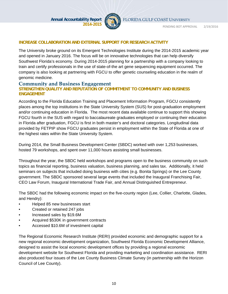

PENDING BOT APPROVAL 2/19/2016

#### **INCREASE COLLABORATION AND EXTERNAL SUPPORT FOR RESEARCH ACTIVITY**

The University broke ground on its Emergent Technologies Institute during the 2014-2015 academic year and opened in January 2016. The focus will be on innovative technologies that can help diversify Southwest Florida's economy. During 2014-2015 planning for a partnership with a company looking to train and certify professionals in the use of state-of-the art gene sequencing equipment occurred. The company is also looking at partnering with FGCU to offer genetic counseling education in the realm of genomic medicine.

#### **Community and Business Engagement**

#### **STRENGTHEN QUALITY AND REPUTATION OF COMMITMENT TO COMMUNITY AND BUSINESS ENGAGEMENT**

According to the Florida Education Training and Placement Information Program, FGCU consistently places among the top institutions in the State University System (SUS) for post-graduation employment and/or continuing education in Florida. The most recent data available continue to support this showing FGCU fourth in the SUS with regard to baccalaureate graduates employed or continuing their education in Florida after graduation, FGCU is first in both master's and doctoral categories. Longitudinal data provided by FETPIP show FGCU graduates persist in employment within the State of Florida at one of the highest rates within the State University System.

During 2014, the Small Business Development Center (SBDC) worked with over 1,253 businesses, hosted 79 workshops, and spent over 11,000 hours assisting small businesses.

Throughout the year, the SBDC held workshops and programs open to the business community on such topics as financial reporting, business valuation, business planning, and sales tax. Additionally, it held seminars on subjects that included doing business with cities (e.g. Bonita Springs) or the Lee County government. The SBDC sponsored several large events that included the Inaugural Franchising Fair, CEO Law Forum, Inaugural International Trade Fair, and Annual Distinguished Entrepreneur.

The SBDC had the following economic impact on the five-county region (Lee, Collier, Charlotte, Glades, and Hendry):

- Helped 85 new businesses start
- Created or retained 247 jobs
- Increased sales by \$19.6M
- Acquired \$530K in government contracts
- Accessed \$10.6M of investment capital

The Regional Economic Research Institute (RERI) provided economic and demographic support for a new regional economic development organization, Southwest Florida Economic Development Alliance, designed to assist the local economic development offices by providing a regional economic development website for Southwest Florida and providing marketing and coordination assistance. RERI also produced four issues of the Lee County Business Climate Survey (in partnership with the Horizon Council of Lee County).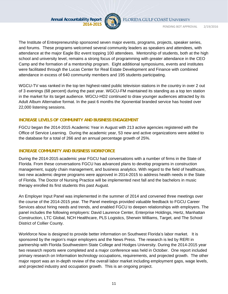

FLORIDA GULF COAST UNIVERSITY

PENDING BOT APPROVAL 2/19/2016

The Institute of Entrepreneurship sponsored seven major events, programs, projects, speaker series, and forums. These programs welcomed several community leaders as speakers and attendees, with attendance at the major Eagle Biz event topping 100 attendees. Mentorship of students, both at the high school and university level, remains a strong focus of programming with greater attendance in the CEO Camp and the formation of a mentorship program. Eight additional symposiums, events and institutes were facilitated through the Lucas Center for Real Estate Development and Finance with combined attendance in excess of 640 community members and 195 students participating.

WGCU-TV was ranked in the top ten highest-rated public television stations in the country in over 2 out of 3 evenings (68 percent) during the past year. WGCU-FM maintained its standing as a top ten station in the market for its target audience. WGCU-HD2 continued to draw younger audiences attracted by its Adult Album Alternative format. In the past 6 months the Xponential branded service has hosted over 22,000 listening sessions.

#### **INCREASE LEVELS OF COMMUNITY AND BUSINESS ENGAGEMENT**

FGCU began the 2014-2015 Academic Year in August with 213 active agencies registered with the Office of Service Learning. During the academic year, 53 new and active organizations were added to the database for a total of 266 and an annual percentage growth of 25%.

#### **INCREASE COMMUNITY AND BUSINESS WORKFORCE**

During the 2014-2015 academic year FGCU had conversations with a number of firms in the State of Florida. From these conversations FGCU has advanced plans to develop programs in construction management, supply chain management, and business analytics. With regard to the field of healthcare, two new academic degree programs were approved in 2014-2015 to address health needs in the State of Florida. The Doctor of Nursing Practice will be implemented next fall and the bachelors in music therapy enrolled its first students this past August.

An Employer Input Panel was implemented in the summer of 2014 and convened three meetings over the course of the 2014-2015 year. The Panel meetings provided valuable feedback to FGCU Career Services about hiring needs and trends, and enabled FGCU to deepen relationships with employers. The panel includes the following employers: David Laurence Center, Enterprise Holdings, Hertz, Manhattan Construction, LTC Global, NCH Healthcare, PLS Logistics, Sherwin Williams, Target, and The School District of Collier County.

Workforce Now is designed to provide better information on Southwest Florida's labor market. It is sponsored by the region's major employers and the News Press. The research is led by RERI in partnership with Florida Southwestern State College and Hodges University. During the 2014-2015 year two research reports were completed and a major conference was held in October. One report included primary research on Information technology occupations, requirements, and projected growth. The other major report was an in-depth review of the overall labor market including employment gaps, wage levels, and projected industry and occupation growth. This is an ongoing project.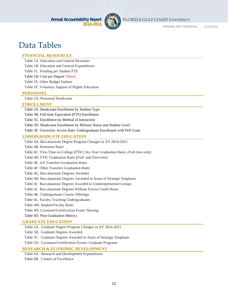

FLORIDA GULF COAST UNIVERSITY

PENDING BOT APPROVAL 2/19/2016

# Data Tables

#### **FINANCIAL RESOURCES**

Table 1A. Education and General Revenues

Table 1B. Education and General Expenditures

Table 1C. Funding per Student FTE

Table 1D. Cost per Degree [New]

Table 1E. Other Budget Entities

Table 1F. Voluntary Support of Higher Education

#### **PERSONNEL**

Table 2A. Personnel Headcount

#### **ENROLLMENT**

Table 3A. Headcount Enrollment by Student Type

Table 3B. Full-time Equivalent (FTE) Enrollment

Table 3C. Enrollment by Method of Instruction

Table 3D. Headcount Enrollment by Military Status and Student Level

Table 3E. University Access Rate: Undergraduate Enrollment with Pell Grant

#### **UNDERGRADUATE EDUCATION**

Table 4A. Baccalaureate Degree Program Changes in AY 2014-2015

Table 4B. Retention Rates

Table 4C. First-Time-in-College (FTIC) Six-Year Graduation Rates *(Full-time only)*

Table 4D. FTIC Graduation Rates *(Full- and Part-time)*

Table 4E. AA Transfers Graduation Rates

Table 4F. Other Transfers Graduation Rates

Table 4G. Baccalaureate Degrees Awarded

Table 4H. Baccalaureate Degrees Awarded in Areas of Strategic Emphasis

Table 4I. Baccalaureate Degrees Awarded to Underrepresented Groups

Table 4J. Baccalaureate Degrees Without Excess Credit Hours

Table 4K. Undergraduate Course Offerings

Table 4L. Faculty Teaching Undergraduates

Table 4M. Student/Faculty Ratio

Table 4N. Licensure/Certification Exam: Nursing

Table 4O. Post-Graduation Metrics

#### **GRADUATE EDUCATION**

Table 5A. Graduate Degree Program Changes in AY 2014-2015

Table 5B. Graduate Degrees Awarded

Table 5C. Graduate Degrees Awarded in Areas of Strategic Emphasis

Table 5D. Licensure/Certification Exams: Graduate Programs

#### **RESEARCH & ECONOMIC DEVELOPMENT**

Table 6A. Research and Development Expenditures Table 6B. Centers of Excellence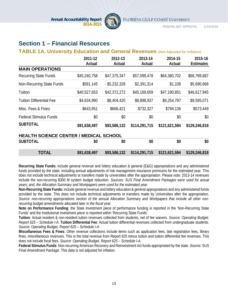

# **Section 1 – Financial Resources**

#### **TABLE 1A. University Education and General Revenues** *(Not Adjusted for Inflation)*

|                                               | 2011-12<br>Actual | 2012-13<br>Actual | 2013-14<br>Actual | 2014-15<br>Actual | 2015-16<br><b>Estimates</b> |
|-----------------------------------------------|-------------------|-------------------|-------------------|-------------------|-----------------------------|
| <b>MAIN OPERATIONS</b>                        |                   |                   |                   |                   |                             |
| <b>Recurring State Funds</b>                  | \$45,240,758      | \$47,375,347      | \$57,099,478      | \$64,380,702      | \$66,769,687                |
| Non-Recurring State Funds                     | \$591,145         | $-$ \$5,232,328   | \$2,391,314       | \$1,108           | \$5,690,666                 |
| Tuition                                       | \$40,527,653      | \$42,372,272      | \$45,169,659      | \$47,190,851      | \$46,617,945                |
| <b>Tuition Differential Fee</b>               | \$4,634,990       | \$8,404,420       | \$8,898,937       | \$9,254,797       | \$9,595,071                 |
| Misc. Fees & Fines                            | \$643,951         | \$666,421         | \$732,327         | \$794,136         | \$573,449                   |
| <b>Federal Stimulus Funds</b>                 | \$0               | \$0               | \$0               | \$0               | \$0                         |
| <b>SUBTOTAL</b>                               | \$91,638,497      | \$93,586,132      | \$114,291,715     | \$121,621,594     | \$129,246,818               |
| <b>HEALTH SCIENCE CENTER / MEDICAL SCHOOL</b> |                   |                   |                   |                   |                             |
| <b>SUBTOTAL</b>                               | \$0               | \$0               | \$0               | \$0               | \$0                         |
| <b>TOTAL</b>                                  | \$91,638,497      | \$93,586,132      | \$114,291,715     | \$121,621,594     | \$129,246,818               |

**Recurring State Funds:** include general revenue and lottery education & general (E&G) appropriations and any administered funds provided by the state, including annual adjustments of risk management insurance premiums for the estimated year. This does not include technical adjustments or transfers made by universities after the appropriation. Please note: 2013-14 revenues include the non-recurring \$300 M system budget reduction. *Sources: SUS Final Amendment Packages were used for actual years; and, the Allocation Summary and Workpapers were used for the estimated year.*

**Non-Recurring State Funds:** include general revenue and lottery education & general appropriations and any administered funds provided by the state. This does not include technical adjustments or transfers made by Universities after the appropriation. *Source: non-recurring appropriations section of the annual Allocation Summary and Workpapers that include all other nonrecurring budget amendments allocated later in the fiscal year.*

**Note on Performance Funding**: the State investment piece of performance funding is reported in the 'Non-Recurring State Funds' and the Institutional investment piece is reported within 'Recurring State Funds'.

**Tuition**: Actual resident & non-resident tuition revenues collected from students, net of fee waivers. *Source: Operating Budget, Report 625 – Schedule I-A.* **Tuition Differential Fee**: Actual tuition differential revenues collected from undergraduate students. *Source: Operating Budget, Report 625 – Schedule I-A.*

**Miscellaneous Fees & Fines**: Other revenue collections include items such as application fees, late registration fees, library fines, miscellaneous revenues. This is the total revenue from Report 625 minus tuition and tuition differential fee revenues. This does not include local fees. *Source: Operating Budget, Report 625 – Schedule I-A.*

**Federal Stimulus Funds**: Non-recurring American Recovery and Reinvestment Act funds appropriated by the state. *Source: SUS Final Amendment Package.* This data is not adjusted for inflation.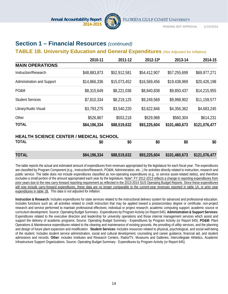

# **Section 1 – Financial Resources** *(continued)*

### **TABLE 1B. University Education and General Expenditures** *(Not Adjusted for Inflation)*

|                                               | 2010-11      | 2011-12      | 2012-13*     | 2013-14       | 2014-15       |
|-----------------------------------------------|--------------|--------------|--------------|---------------|---------------|
| <b>MAIN OPERATIONS</b>                        |              |              |              |               |               |
| Instruction/Research                          | \$48,883,873 | \$52,912,581 | \$54,412,907 | \$57,255,699  | \$69,977,271  |
| Administration and Support                    | \$14,866,336 | \$15,073,452 | \$16,569,456 | \$19,438,969  | \$20,426,198  |
| PO&M                                          | \$8,315,649  | \$8,221,036  | \$8,840,838  | \$9,850,437   | \$14,215,955  |
| <b>Student Services</b>                       | \$7,810,334  | \$8,219,125  | \$9,249,569  | \$9,998,902   | \$11,159,577  |
| Library/Audio Visual                          | \$3,793,275  | \$3,540,220  | \$3,622,846  | \$4,356,362   | \$4,683,245   |
| Other                                         | \$526,867    | \$553,218    | \$529,988    | \$560,304     | \$614,231     |
| <b>TOTAL</b>                                  | \$84,196,334 | \$88,519,632 | \$93,225,604 | \$101,460,673 | \$121,076,477 |
| <b>HEALTH SCIENCE CENTER / MEDICAL SCHOOL</b> |              |              |              |               |               |
| TOTAL                                         | \$0          | \$0          | \$0          | \$0           | \$0           |
| <b>TOTAL</b>                                  | \$84,196,334 | \$88,519,632 | \$93,225,604 | \$101,460,673 | \$121,076,477 |

The table reports the actual and estimated amount of expenditures from revenues appropriated by the legislature for each fiscal year. The expenditures are classified by Program Component (e.g., Instruction/Research, PO&M, Administration, etc...) for activities directly related to instruction, research and public service. The table does not include expenditures classified as non-operating expenditures (e.g., to service asset-related debts), and therefore excludes a small portion of the amount appropriated each year by the legislature. Note\*: FY 2012-2013 reflects a change in reporting expenditures from prior years due to the new carry-forward reporting requirement as reflected in the 2013-2014 SUS Operating Budget Reports. Since these expenditures will now include carry-forward expenditures, these data are no longer comparable to the current-year revenues reported in table 1A, or prior year expenditures in table 1B. *This data is not adjusted for inflation.*

**Instruction & Research:** Includes expenditures for state services related to the instructional delivery system for advanced and professional education. Includes functions such as; all activities related to credit instruction that may be applied toward a postsecondary degree or certificate; non-project research and service performed to maintain professional effectives; individual or project research; academic computing support; academic source or curriculum development. Source: Operating Budget Summary - Expenditures by Program Activity (or Report 645). **Administration & Support Services:**  Expenditures related to the executive direction and leadership for university operations and those internal management services which assist and support the delivery of academic programs. Source: Operating Budget Summary - Expenditures by Program Activity (or Report 645). **PO&M:** Plant Operations & Maintenance expenditures related to the cleaning and maintenance of existing grounds, the providing of utility services, and the planning and design of future plant expansion and modification. **Student Services:** Includes resources related to physical, psychological, and social well-being of the student. Includes student service administration, social and cultural development, counseling and career guidance, financial aid, and student admissions and records. **Other**: includes Institutes and Research Centers, Radio/TV, Museums and Galleries, Intercollegiate Athletics, Academic Infrastructure Support Organizations. Source: Operating Budget Summary - Expenditures by Program Activity (or Report 645).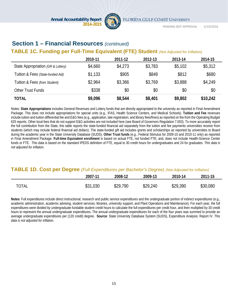

# **Section 1 – Financial Resources** *(continued)*

## **TABLE 1C. Funding per Full-Time Equivalent (FTE) Student** *(Not Adjusted for Inflation)*

|                                    | 2010-11 | 2011-12 | 2012-13 | 2013-14 | 2014-15  |
|------------------------------------|---------|---------|---------|---------|----------|
| State Appropriation (GR & Lottery) | \$4,660 | \$4,273 | \$3,783 | \$5,102 | \$5,312  |
| Tuition & Fees (State-funded Aid)  | \$1,133 | \$905   | \$849   | \$812   | \$680    |
| Tuition & Fees (from Student)      | \$2,964 | \$3,366 | \$3.769 | \$3,888 | \$4,249  |
| Other Trust Funds                  | \$338   | \$0     | \$0     | \$0     | \$0      |
| <b>TOTAL</b>                       | \$9,096 | \$8,544 | \$8,401 | \$9,802 | \$10,242 |

Notes: **State Appropriations** includes General Revenues and Lottery funds that are directly appropriated to the university as reported in Final Amendment Package. This does not include appropriations for special units (e.g., IFAS, Health Science Centers, and Medical Schools). **Tuition and Fee** revenues include tuition and tuition differential fee and E&G fees (e.g., application, late registration, and library fees/fines) as reported on the from the Operating Budget 625 reports. Other local fees that do not support E&G activities are not included here (see Board of Governors Regulation 7.003). To more accurately report the full contribution from the State, this table reports the state-funded financial aid separately from the tuition and fee payments universities receive from students (which may include federal financial aid dollars). The state-funded gift aid includes grants and scholarships as reported by universities to Board during the academic year in the State University Database (SUDS). **Other Trust funds** (e.g., Federal Stimulus for 2009-10 and 2010-11 only) as reported in Final Amendment Package. **Full-time Equivalent enrollment** is based on actual FTE, not funded FTE; and, does not include Health-Science Center funds or FTE. This data is based on the standard IPEDS definition of FTE, equal to 30 credit hours for undergraduates and 24 for graduates. *This data is not adjusted for inflation.*

#### **TABLE 1D. Cost per Degree** *(Full Expenditures per Bachelor's Degree) (Not Adjusted for Inflation)*

|              | 2007-11  | 2008-12  | 2009-13  | 2010-14  | 2011-15  |
|--------------|----------|----------|----------|----------|----------|
| <b>TOTAL</b> | \$31,030 | \$29,790 | \$29,240 | \$29,390 | \$30,080 |

**Notes**: Full expenditures include direct instructional, research and public service expenditures and the undergraduate portion of indirect expenditures (e.g., academic administration, academic advising, student services, libraries, university support, and Plant Operations and Maintenance). For each year, the full expenditures were divided by undergraduate fundable student credit hours to calculate the full expenditures per credit hour, and then multiplied by 30 credit hours to represent the annual undergraduate expenditures. The annual undergraduate expenditures for each of the four years was summed to provide an average undergraduate expenditures per (120 credit) degree. **Source**: State University Database System (SUDS), Expenditure Analysis: Report IV. *This data is not adjusted for inflation.*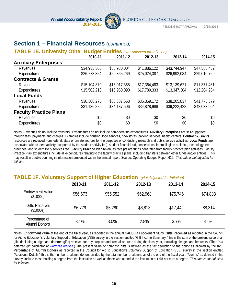

# **Section 1 – Financial Resources** *(continued)*

#### **TABLE 1E. University Other Budget Entities** *(Not Adjusted for Inflation)*

|                               | 2010-11      | 2011-12      | 2012-13      | 2013-14      | 2014-15      |
|-------------------------------|--------------|--------------|--------------|--------------|--------------|
| <b>Auxiliary Enterprises</b>  |              |              |              |              |              |
| Revenues                      | \$34,935,303 | \$36,930,004 | \$41,886,122 | \$43,744,947 | \$47,586,452 |
| Expenditures                  | \$26,773,354 | \$29,365,269 | \$25,024,387 | \$26,992,084 | \$29,010,769 |
| <b>Contracts &amp; Grants</b> |              |              |              |              |              |
| Revenues                      | \$15,104,870 | \$16,017,365 | \$17,364,483 | \$13,139,621 | \$11,377,461 |
| Expenditures                  | \$15,502,218 | \$16,950,090 | \$17,789,333 | \$13,347,304 | \$12,204,284 |
| <b>Local Funds</b>            |              |              |              |              |              |
| Revenues                      | \$30,308,275 | \$33,387,568 | \$35,369,172 | \$38,205,837 | \$41,775,379 |
| Expenditures                  | \$31,136,829 | \$34,137,506 | \$34,828,988 | \$39,222,428 | \$42,033,904 |
| <b>Faculty Practice Plans</b> |              |              |              |              |              |
| Revenues                      | \$0          | \$0          | \$0          | \$0          | \$0          |
| <b>Expenditures</b>           | \$0          | \$0          | \$0          | \$0          | \$0          |

Notes: Revenues do not include transfers. Expenditures do not include non-operating expenditures. **Auxiliary Enterprises** are self-supported through fees, payments and charges. Examples include housing, food services, bookstores, parking services, health centers. **Contract & Grants**  resources are received from federal, state or private sources for the purposes of conducting research and public service activities. **Local Funds** are associated with student activity (supported by the student activity fee), student financial aid, concessions, intercollegiate athletics, technology fee, green fee, and student life & services fee. **Faculty Practice Plan** revenues/receipts are funds generated from faculty practice plan activities. Faculty Practice Plan expenditures include all expenditures relating to the faculty practice plans, including transfers between other funds and/or entities. This may result in double counting in information presented within the annual report. Source: Operating Budget, Report 615. *This data is not adjusted for inflation.*

#### **TABLE 1F. Voluntary Support of Higher Education** *(Not Adjusted for Inflation)*

|                                     | 2010-11  | 2011-12  | 2012-13  | 2013-14  | 2014-15  |
|-------------------------------------|----------|----------|----------|----------|----------|
| <b>Endowment Value</b><br>(\$1000s) | \$56,673 | \$55,552 | \$62,968 | \$75,746 | \$74,883 |
| <b>Gifts Received</b><br>(\$1000s)  | \$6,779  | \$5,280  | \$6,813  | \$17,442 | \$8,314  |
| Percentage of<br>Alumni Donors      | 3.1%     | 3.0%     | 2.8%     | 3.7%     | 4.6%     |

Notes: **Endowment value** at the end of the fiscal year, as reported in the annual NACUBO Endowment Study. **Gifts Received** as reported in the Council for Aid to Education's Voluntary Support of Education (VSE) survey in the section entitled "Gift Income Summary," this is the sum of the present value of all gifts (including outright and deferred gifts) received for any purpose and from all sources during the fiscal year, excluding pledges and bequests. (There's a deferred gift calculator at www.cae.org/vse.) The present value of non-cash gifts is defined as the tax deduction to the donor as allowed by the IRS. **Percentage of Alumni Donors** as reported in the Council for Aid to Education's Voluntary Support of Education (VSE) survey in the section entitled "Additional Details," this is the number of alumni donors divided by the total number of alumni, as of the end of the fiscal year. "Alumni," as defined in this survey, include those holding a degree from the institution as well as those who attended the institution but did not earn a degree. *This data is not adjusted for inflation.*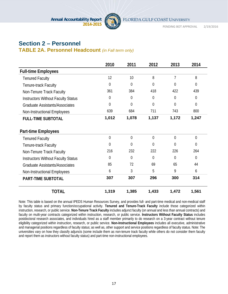

PENDING BOT APPROVAL 2/19/2016

# **Section 2 – Personnel**

#### **TABLE 2A. Personnel Headcount** *(in Fall term only)*

|                                           | 2010           | 2011           | 2012           | 2013           | 2014           |
|-------------------------------------------|----------------|----------------|----------------|----------------|----------------|
| <b>Full-time Employees</b>                |                |                |                |                |                |
| <b>Tenured Faculty</b>                    | 12             | 10             | 8              | 7              | 8              |
| Tenure-track Faculty                      | $\Omega$       | $\mathbf{0}$   | $\overline{0}$ | $\Omega$       | $\overline{0}$ |
| Non-Tenure Track Faculty                  | 361            | 384            | 418            | 422            | 439            |
| <b>Instructors Without Faculty Status</b> | $\theta$       | $\mathbf 0$    | 0              | $\overline{0}$ | $\theta$       |
| <b>Graduate Assistants/Associates</b>     | $\overline{0}$ | $\mathbf 0$    | 0              | $\overline{0}$ | $\overline{0}$ |
| Non-Instructional Employees               | 639            | 684            | 711            | 743            | 800            |
| <b>FULL-TIME SUBTOTAL</b>                 | 1,012          | 1,078          | 1,137          | 1,172          | 1,247          |
| <b>Part-time Employees</b>                |                |                |                |                |                |
| <b>Tenured Faculty</b>                    | $\overline{0}$ | $\overline{0}$ | $\overline{0}$ | $\overline{0}$ | $\overline{0}$ |
| Tenure-track Faculty                      | $\overline{0}$ | $\overline{0}$ | 0              | $\overline{0}$ | $\overline{0}$ |
| Non-Tenure Track Faculty                  | 216            | 232            | 222            | 226            | 264            |
| <b>Instructors Without Faculty Status</b> | $\Omega$       | $\overline{0}$ | $\Omega$       | $\Omega$       | $\Omega$       |
| <b>Graduate Assistants/Associates</b>     | 85             | 72             | 69             | 65             | 44             |
| Non-Instructional Employees               | 6              | 3              | 5              | 9              | 6              |
| <b>PART-TIME SUBTOTAL</b>                 | 307            | 307            | 296            | 300            | 314            |
| <b>TOTAL</b>                              | 1,319          | 1,385          | 1,433          | 1,472          | 1,561          |

Note: This table is based on the annual IPEDS Human Resources Survey, and provides full- and part-time medical and non-medical staff by faculty status and primary function/occupational activity. **Tenured and Tenure-Track Faculty** include those categorized within instruction, research, or public service. **Non-Tenure Track Faculty** includes adjunct faculty (on annual and less than annual contracts) and faculty on multi-year contracts categorized within instruction, research, or public service. **Instructors Without Faculty Status** includes postdoctoral research associates, and individuals hired as a staff member primarily to do research on a 3-year contract without tenure eligibility categorized within instruction, research, or public service. **Non-Instructional Employees** includes all executive, administrative and managerial positions regardless of faculty status; as well as, other support and service positions regardless of faculty status. Note: The universities vary on how they classify adjuncts (some include them as non-tenure track faculty while others do not consider them faculty and report them as instructors without faculty status) and part-time non-instructional employees.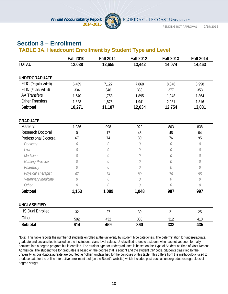

# **Section 3 – Enrollment**

# **TABLE 3A. Headcount Enrollment by Student Type and Level**

|                              | <b>Fall 2010</b> | <b>Fall 2011</b> | <b>Fall 2012</b> | <b>Fall 2013</b> | <b>Fall 2014</b> |
|------------------------------|------------------|------------------|------------------|------------------|------------------|
| <b>TOTAL</b>                 | 12,038           | 12,655           | 13,442           | 14,074           | 14,463           |
| <b>UNDERGRADUATE</b>         |                  |                  |                  |                  |                  |
| FTIC (Regular Admit)         | 6,469            | 7,127            | 7,868            | 8,348            | 8,998            |
| FTIC (Profile Admit)         | 334              | 346              | 330              | 377              | 353              |
| <b>AA Transfers</b>          | 1,640            | 1,758            | 1,895            | 1,948            | 1,864            |
| <b>Other Transfers</b>       | 1,828            | 1,876            | 1,941            | 2,081            | 1,816            |
| Subtotal                     | 10,271           | 11,107           | 12,034           | 12,754           | 13,031           |
| <b>GRADUATE</b>              |                  |                  |                  |                  |                  |
| Master's                     | 1,086            | 998              | 920              | 863              | 838              |
| <b>Research Doctoral</b>     | $\mathbf 0$      | 17               | 48               | 48               | 64               |
| <b>Professional Doctoral</b> | 67               | 74               | 80               | 76               | 95               |
| Dentistry                    | 0                | 0                | 0                | 0                | $\mathcal O$     |
| Law                          | 0                | 0                | 0                | 0                | 0                |
| Medicine                     | 0                | 0                | 0                | 0                | 0                |
| Nursing Practice             | 0                | 0                | 0                | 0                | 0                |
| Pharmacy                     | 0                | 0                | 0                | 0                | 0                |
| Physical Therapist           | 67               | 74               | 80               | 76               | 95               |
| Veterinary Medicine          | $\mathcal O$     | 0                | 0                | 0                | 0                |
| Other                        | 0                | 0                | 0                | 0                | 0                |
| Subtotal                     | 1,153            | 1,089            | 1,048            | 987              | 997              |
| <b>UNCLASSIFIED</b>          |                  |                  |                  |                  |                  |
| <b>HS Dual Enrolled</b>      | 32               | 27               | 30               | 21               | 25               |
| Other                        | 582              | 432              | 330              | 312              | 410              |
| Subtotal                     | 614              | 459              | 360              | 333              | 435              |

Note: This table reports the number of students enrolled at the university by student type categories. The determination for undergraduate, graduate and unclassified is based on the institutional class level values. Unclassified refers to a student who has not yet been formally admitted into a degree program but is enrolled. The student type for undergraduates is based on the Type of Student at Time of Most Recent Admission. The student type for graduates is based on the degree that is sought and the student CIP code. Students classified by the university as post-baccalaureate are counted as "other" unclassified for the purposes of this table. This differs from the methodology used to produce data for the online interactive enrollment tool (on the Board's website) which includes post-bacs as undergraduates regardless of degree sought.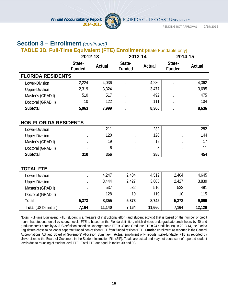

# **Section 3 – Enrollment** *(continued)*

## **TABLE 3B. Full-Time Equivalent (FTE) Enrollment [State Fundable only]**

|                              | 2012-13          |        | 2013-14                 |        | 2014-15                 |        |
|------------------------------|------------------|--------|-------------------------|--------|-------------------------|--------|
|                              | State-<br>Funded | Actual | State-<br><b>Funded</b> | Actual | State-<br><b>Funded</b> | Actual |
| <b>FLORIDA RESIDENTS</b>     |                  |        |                         |        |                         |        |
| Lower-Division               | 2,224            | 4,036  |                         | 4,280  |                         | 4,362  |
| <b>Upper-Division</b>        | 2,319            | 3,324  |                         | 3,477  |                         | 3,695  |
| Master's (GRAD I)            | 510              | 517    |                         | 492    |                         | 475    |
| Doctoral (GRAD II)           | 10               | 122    |                         | 111    |                         | 104    |
| Subtotal                     | 5,063            | 7,999  |                         | 8,360  |                         | 8,636  |
| <b>NON-FLORIDA RESIDENTS</b> |                  |        |                         |        |                         |        |
| Lower-Division               |                  | 211    |                         | 232    |                         | 282    |
| <b>Upper-Division</b>        |                  | 120    |                         | 128    |                         | 144    |
| Master's (GRAD I)            |                  | 19     |                         | 18     |                         | 17     |
| Doctoral (GRAD II)           |                  | 6      |                         | 8      |                         | 11     |
| Subtotal                     | 310              | 356    |                         | 385    |                         | 454    |
| <b>TOTAL FTE</b>             |                  |        |                         |        |                         |        |
| Lower-Division               |                  | 4,247  | 2,404                   | 4,512  | 2,404                   | 4,645  |
| <b>Upper-Division</b>        |                  | 3,444  | 2,427                   | 3,605  | 2,427                   | 3,839  |
| Master's (GRAD I)            |                  | 537    | 532                     | 510    | 532                     | 491    |
| Doctoral (GRAD II)           |                  | 128    | 10                      | 119    | 10                      | 115    |
| Total                        | 5,373            | 8,355  | 5,373                   | 8,745  | 5,373                   | 9,090  |
| Total (US Definition)        | 7,164            | 11,140 | 7,164                   | 11,660 | 7,164                   | 12,120 |

Notes: Full-time Equivalent (FTE) student is a measure of instructional effort (and student activity) that is based on the number of credit hours that students enroll by course level. FTE is based on the Florida definition, which divides undergraduate credit hours by 40 and graduate credit hours by 32 (US definition based on Undergraduate FTE = 30 and Graduate FTE = 24 credit hours). In 2013-14, the Florida Legislature chose to no longer separate funded non-resident FTE from funded resident FTE. **Funded** enrollment as reported in the General Appropriations Act and Board of Governors' Allocation Summary. **Actual** enrollment only reports 'state-fundable' FTE as reported by Universities to the Board of Governors in the Student Instruction File (SIF). Totals are actual and may not equal sum of reported student levels due to rounding of student level FTE. Total FTE are equal in tables 3B and 3C.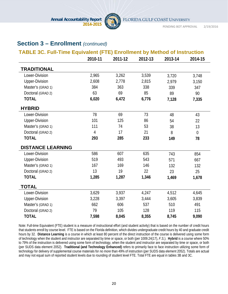

# **Section 3 – Enrollment** *(continued)*

|                          | <b>TABLE 3C. Full-Time Equivalent (FTE) Enrollment by Method of Instruction</b> |         |         |         |                |  |
|--------------------------|---------------------------------------------------------------------------------|---------|---------|---------|----------------|--|
|                          | 2010-11                                                                         | 2011-12 | 2012-13 | 2013-14 | 2014-15        |  |
| <b>TRADITIONAL</b>       |                                                                                 |         |         |         |                |  |
| Lower-Division           | 2,965                                                                           | 3,262   | 3,539   | 3,720   | 3,748          |  |
| <b>Upper-Division</b>    | 2,608                                                                           | 2,778   | 2,815   | 2,979   | 3,150          |  |
| Master's (GRAD 1)        | 384                                                                             | 363     | 338     | 339     | 347            |  |
| Doctoral (GRAD 2)        | 63                                                                              | 69      | 85      | 89      | 90             |  |
| <b>TOTAL</b>             | 6,020                                                                           | 6,472   | 6,776   | 7,128   | 7,335          |  |
| <b>HYBRID</b>            |                                                                                 |         |         |         |                |  |
| Lower-Division           | 78                                                                              | 69      | 73      | 48      | 43             |  |
| <b>Upper-Division</b>    | 101                                                                             | 125     | 86      | 54      | 22             |  |
| Master's (GRAD 1)        | 111                                                                             | 74      | 53      | 38      | 13             |  |
| Doctoral (GRAD 2)        | $\overline{4}$                                                                  | 17      | 21      | 8       | $\overline{0}$ |  |
| <b>TOTAL</b>             | 293                                                                             | 285     | 233     | 149     | 78             |  |
| <b>DISTANCE LEARNING</b> |                                                                                 |         |         |         |                |  |
| Lower-Division           | 586                                                                             | 607     | 635     | 743     | 854            |  |
| <b>Upper-Division</b>    | 519                                                                             | 493     | 543     | 571     | 667            |  |
| Master's (GRAD 1)        | 167                                                                             | 169     | 146     | 132     | 132            |  |
| Doctoral (GRAD 2)        | 13                                                                              | 19      | 22      | 23      | 25             |  |
| <b>TOTAL</b>             | 1,285                                                                           | 1,287   | 1,346   | 1,469   | 1,678          |  |
| <b>TOTAL</b>             |                                                                                 |         |         |         |                |  |
| Lower-Division           | 3,629                                                                           | 3,937   | 4,247   | 4,512   | 4,645          |  |
| <b>Upper-Division</b>    | 3,228                                                                           | 3,397   | 3,444   | 3,605   | 3,839          |  |
| Master's (GRAD 1)        | 662                                                                             | 606     | 537     | 510     | 491            |  |
| Doctoral (GRAD 2)        | 79                                                                              | 105     | 128     | 119     | 115            |  |
| <b>TOTAL</b>             | 7,598                                                                           | 8,045   | 8,355   | 8,745   | 9,090          |  |

Note: Full-time Equivalent (FTE) student is a measure of instructional effort (and student activity) that is based on the number of credit hours that students enroll by course level. FTE is based on the Florida definition, which divides undergraduate credit hours by 40 and graduate credit hours by 32. **Distance Learning** is a course in which at least 80 percent of the direct instruction of the course is delivered using some form of technology when the student and instructor are separated by time or space, or both (per 1009.24(17), *F.S.*). **Hybrid** is a course where 50% to 79% of the instruction is delivered using some form of technology, when the student and instructor are separated by time or space, or both (per SUDS data element 2052). **Traditional (and Technology Enhanced)** refers to primarily face to face instruction utilizing some form of technology for delivery of supplemental course materials for *no more* than 49% of instruction (per SUDS data element 2052). Totals are actual and may not equal sum of reported student levels due to rounding of student level FTE. Total FTE are equal in tables 3B and 3C.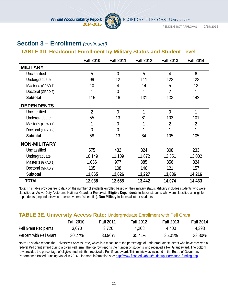

# **Section 3 – Enrollment** *(continued)*

# **TABLE 3D. Headcount Enrollment by Military Status and Student Level**

|                     | <b>Fall 2010</b> | <b>Fall 2011</b> | <b>Fall 2012</b> | <b>Fall 2013</b> | <b>Fall 2014</b> |
|---------------------|------------------|------------------|------------------|------------------|------------------|
| <b>MILITARY</b>     |                  |                  |                  |                  |                  |
| Unclassified        | 5                | $\overline{0}$   | 5                | 4                | 6                |
| Undergraduate       | 99               | 12               | 111              | 122              | 123              |
| Master's (GRAD 1)   | 10               | 4                | 14               | 5                | 12               |
| Doctoral (GRAD 2)   | 1                | $\overline{0}$   |                  | $\overline{2}$   |                  |
| Subtotal            | 115              | 16               | 131              | 133              | 142              |
| <b>DEPENDENTS</b>   |                  |                  |                  |                  |                  |
| Unclassified        | $\overline{2}$   | $\overline{0}$   | $\mathbf{1}$     | $\overline{0}$   | 1                |
| Undergraduate       | 55               | 13               | 81               | 102              | 101              |
| Master's (GRAD 1)   |                  | $\overline{0}$   |                  | 2                | $\overline{2}$   |
| Doctoral (GRAD 2)   | 0                | $\Omega$         |                  |                  |                  |
| Subtotal            | 58               | 13               | 84               | 105              | 105              |
| <b>NON-MILITARY</b> |                  |                  |                  |                  |                  |
| Unclassified        | 575              | 432              | 324              | 308              | 233              |
| Undergraduate       | 10,149           | 11,109           | 11,872           | 12,551           | 13,002           |
| Master's (GRAD 1)   | 1,036            | 977              | 885              | 856              | 824              |
| Doctoral (GRAD 2)   | 105              | 108              | 146              | 121              | 157              |
| Subtotal            | 11,865           | 12,626           | 13,227           | 13,836           | 14,216           |
| <b>TOTAL</b>        | 12,038           | 12,655           | 13,442           | 14,074           | 14,463           |

Note: This table provides trend data on the number of students enrolled based on their military status. **Military** includes students who were classified as Active Duty, Veterans, National Guard, or Reservist. **Eligible Dependents** includes students who were classified as eligible dependents (dependents who received veteran's benefits). **Non-Military** includes all other students.

## **TABLE 3E. University Access Rate:** Undergraduate Enrollment with Pell Grant

|                         | <b>Fall 2010</b> | <b>Fall 2011</b> | <b>Fall 2012</b> | <b>Fall 2013</b> | <b>Fall 2014</b> |
|-------------------------|------------------|------------------|------------------|------------------|------------------|
| Pell Grant Recipients   | 3,070            | 3,726            | 4,208            | 4,400            | 4,398            |
| Percent with Pell Grant | 30.27%           | 33.96%           | 35.41%           | 35.01%           | 33.80%           |

Note: This table reports the University's Access Rate, which is a measure of the percentage of undergraduate students who have received a federal Pell grant award during a given Fall term. The top row reports the number of students who received a Pell Grant award. The bottom row provides the percentage of eligible students that received a Pell Grant award. This metric was included in the Board of Governors Performance Based Funding Model in 2014 – for more information see: http://www.flbog.edu/about/budget/performance\_funding.php.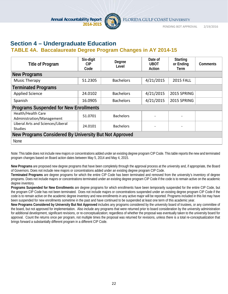

# **Section 4 – Undergraduate Education**

# **TABLE 4A. Baccalaureate Degree Program Changes in AY 2014-15**

| <b>Title of Program</b>                                | Six-digit<br>CIP.<br>Code | Degree<br>Level  | Date of<br><b>UBOT</b><br>Action | <b>Starting</b><br>or Ending<br>Term | <b>Comments</b> |  |  |  |
|--------------------------------------------------------|---------------------------|------------------|----------------------------------|--------------------------------------|-----------------|--|--|--|
| New Programs                                           |                           |                  |                                  |                                      |                 |  |  |  |
| <b>Music Therapy</b>                                   | 51.2305                   | <b>Bachelors</b> | 4/21/2015                        | <b>2015 FALL</b>                     |                 |  |  |  |
| <b>Terminated Programs</b>                             |                           |                  |                                  |                                      |                 |  |  |  |
| <b>Applied Science</b>                                 | 24.0102                   | <b>Bachelors</b> | 4/21/2015                        | 2015 SPRING                          |                 |  |  |  |
| Spanish                                                | 16.0905                   | <b>Bachelors</b> | 4/21/2015                        | 2015 SPRING                          |                 |  |  |  |
| <b>Programs Suspended for New Enrollments</b>          |                           |                  |                                  |                                      |                 |  |  |  |
| Health/Health Care<br>Administration/Management        | 51.0701                   | <b>Bachelors</b> |                                  |                                      |                 |  |  |  |
| Liberal Arts and Sciences/Liberal<br><b>Studies</b>    | 24.0101                   | <b>Bachelors</b> |                                  |                                      |                 |  |  |  |
| New Programs Considered By University But Not Approved |                           |                  |                                  |                                      |                 |  |  |  |
| None                                                   |                           |                  |                                  |                                      |                 |  |  |  |

Note: This table does not include new majors or concentrations added under an existing degree program CIP Code. This table reports the new and terminated program changes based on Board action dates between May 5, 2014 and May 4, 2015.

**New Programs** are proposed new degree programs that have been completely through the approval process at the university and, if appropriate, the Board of Governors. Does not include new majors or concentrations added under an existing degree program CIP Code.

**Terminated Programs** are degree programs for which the entire CIP Code has been terminated and removed from the university's inventory of degree programs. Does not include majors or concentrations terminated under an existing degree program CIP Code if the code is to remain active on the academic degree inventory.

**Programs Suspended for New Enrollments** are degree programs for which enrollments have been temporarily suspended for the entire CIP Code, but the program CIP Code has not been terminated. Does not include majors or concentrations suspended under an existing degree program CIP Code if the code is to remain active on the academic degree inventory and new enrollments in any active major will be reported. Programs included in this list may have been suspended for new enrollments sometime in the past and have continued to be suspended at least one term of this academic year.

**New Programs Considered by University But Not Approved** includes any programs considered by the university board of trustees, or any committee of the board, but not approved for implementation. Also include any programs that were returned prior to board consideration by the university administration for additional development, significant revisions, or re-conceptualization; regardless of whether the proposal was eventually taken to the university board for approval. Count the returns once per program, not multiple times the proposal was returned for revisions, unless there is a total re-conceptualization that brings forward a substantially different program in a different CIP Code.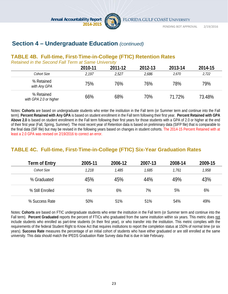

FLORIDA GULF COAST UNIVERSITY

PENDING BOT APPROVAL 2/19/2016

# **Section 4 – Undergraduate Education** *(continued)*

# **TABLE 4B. Full-time, First-Time-in-College (FTIC) Retention Rates**

*Retained in the Second Fall Term at Same University*

|                                      | 2010-11 | 2011-12 | 2012-13 | 2013-14 | 2014-15 |
|--------------------------------------|---------|---------|---------|---------|---------|
| Cohort Size                          | 2,197   | 2,527   | 2,686   | 2.670   | 2,722   |
| % Retained<br>with Any GPA           | 75%     | 76%     | 76%     | 78%     | 79%     |
| % Retained<br>with GPA 2.0 or higher | 66%     | 68%     | 70%     | 71.72%  | 73.48%  |

Notes: **Cohorts** are based on undergraduate students who enter the institution in the Fall term (or Summer term and continue into the Fall term). **Percent Retained with Any GPA** is based on student enrollment in the Fall term following their first year. **Percent Retained with GPA Above 2.0** is based on student enrollment in the Fall term following their first years for those students with a GPA of 2.0 or higher at the end of their first year (Fall, Spring, Summer). The most recent year of Retention data is based on preliminary data (SIFP file) that is comparable to the final data (SIF file) but may be revised in the following years based on changes in student cohorts. The 2014-15 Percent Retained with at least a 2.0 GPA was revised on 2/19/2016 to correct an error.

# **TABLE 4C. Full-time, First-Time-in-College (FTIC) Six-Year Graduation Rates**

| Term of Entry    | 2005-11 | 2006-12 | 2007-13 | 2008-14 | 2009-15 |
|------------------|---------|---------|---------|---------|---------|
| Cohort Size      | 1,218   | 1,485   | 1,685   | 1,761   | 1,958   |
| % Graduated      | 45%     | 45%     | 44%     | 49%     | 43%     |
| % Still Enrolled | 5%      | 6%      | 7%      | 5%      | 6%      |
| % Success Rate   | 50%     | 51%     | 51%     | 54%     | 49%     |

Notes: **Cohorts** are based on FTIC undergraduate students who enter the institution in the Fall term (or Summer term and continue into the Fall term). **Percent Graduated** reports the percent of FTICs who graduated from the same institution within six years. This metric does not include students who enrolled as part-time students (in their first year), or who transfer into the institution. This metric complies with the requirements of the federal Student Right to Know Act that requires institutions to report the completion status at 150% of normal time (or six years). **Success Rate** measures the percentage of an initial cohort of students who have either graduated or are still enrolled at the same university. This data should match the IPEDS Graduation Rate Survey data that is due in late February.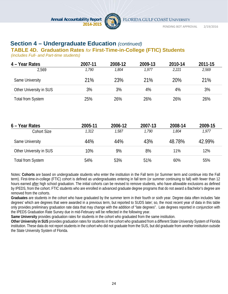

PENDING BOT APPROVAL 2/19/2016

# **Section 4 – Undergraduate Education** *(continued)*

#### **TABLE 4D. Graduation Rates** *for* **First-Time-in-College (FTIC) Students**

*(includes Full- and Part-time students)*

| 4 – Year Rates           | 2007-11 | 2008-12 | 2009-13 | 2010-14 | 2011-15 |
|--------------------------|---------|---------|---------|---------|---------|
| 2,569                    | 1.790   | 1,804   | 1.977   | 2,221   | 2,569   |
| Same University          | 21%     | 23%     | 21%     | 20%     | 21%     |
| Other University in SUS  | 3%      | 3%      | 4%      | 4%      | 3%      |
| <b>Total from System</b> | 25%     | 26%     | 26%     | 26%     | 26%     |

| 6 – Year Rates          | 2005-11 | 2006-12 | 2007-13 | 2008-14 | 2009-15 |
|-------------------------|---------|---------|---------|---------|---------|
| Cohort Size             | 1,312   | 1,587   | 1,790   | 1,804   | 1,977   |
| Same University         | 44%     | 44%     | 43%     | 48.78%  | 42.99%  |
| Other University in SUS | 10%     | 9%      | 8%      | 11%     | 12%     |
| Total from System       | 54%     | 53%     | 51%     | 60%     | 55%     |

Notes: **Cohorts** are based on undergraduate students who enter the institution in the Fall term (or Summer term and continue into the Fall term). First-time-in-college (FTIC) cohort is defined as undergraduates entering in fall term (or summer continuing to fall) with fewer than 12 hours earned after high school graduation. The initial cohorts can be revised to remove students, who have allowable exclusions as defined by IPEDS, from the cohort. FTIC students who are enrolled in advanced graduate degree programs that do not award a Bachelor's degree are removed from the cohorts.

**Graduates** are students in the cohort who have graduated by the summer term in their fourth or sixth year. Degree data often includes 'late degrees' which are degrees that were awarded in a previous term, but reported to SUDS later; so, the most recent year of data in this table only provides preliminary graduation rate data that may change with the addition of "late degrees". Late degrees reported in conjunction with the IPEDS Graduation Rate Survey due in mid-February will be reflected in the following year.

**Same University** provides graduation rates for students in the cohort who graduated from the same institution.

**Other University in SUS** provides graduation rates for students in the cohort who graduated from a different State University System of Florida institution. These data do not report students in the cohort who did not graduate from the SUS, but did graduate from another institution outside the State University System of Florida.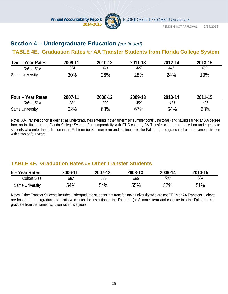

# **Section 4 – Undergraduate Education** *(continued)*

# **TABLE 4E. Graduation Rates** *for* **AA Transfer Students from Florida College System**

| Two - Year Rates   | 2009-11 | 2010-12 | 2011-13 | 2012-14 | 2013-15 |
|--------------------|---------|---------|---------|---------|---------|
| Cohort Size        | 354     | 414     | 427     | 441     | 430     |
| Same University    | 30%     | 26%     | 28%     | 24%     | 19%     |
| Four - Year Rates  | 2007-11 | 2008-12 | 2009-13 | 2010-14 | 2011-15 |
| <b>Cohort Size</b> | 331     | 309     | 354     | 414     | 427     |
| Same University    | 62%     | 63%     | 67%     | 64%     | 63%     |

Notes: AA Transfer cohort is defined as undergraduates entering in the fall term (or summer continuing to fall) and having earned an AA degree from an institution in the Florida College System. For comparability with FTIC cohorts, AA Transfer cohorts are based on undergraduate students who enter the institution in the Fall term (or Summer term and continue into the Fall term) and graduate from the same institution within two or four years.

# **TABLE 4F. Graduation Rates** *for* **Other Transfer Students**

| 5 – Year Rates  | 2006-11 | 2007-12 | 2008-13 | 2009-14 | 2010-15 |
|-----------------|---------|---------|---------|---------|---------|
| Cohort Size     | 587     | 588     | 565     | 583     | 584     |
| Same University | 54%     | 54%     | 55%     | 52%     | 51%     |

Notes: Other Transfer Students includes undergraduate students that transfer into a university who are not FTICs or AA Transfers. Cohorts are based on undergraduate students who enter the institution in the Fall term (or Summer term and continue into the Fall term) and graduate from the same institution within five years.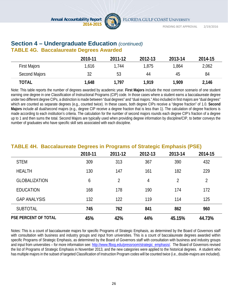

## **Section 4 – Undergraduate Education** *(continued)* **TABLE 4G. Baccalaureate Degrees Awarded**

|                     | 2010-11 | 2011-12 | 2012-13 | 2013-14 | 2014-15 |
|---------------------|---------|---------|---------|---------|---------|
| <b>First Majors</b> | 1,616   | 1.744   | 1,875   | 1,864   | 2,062   |
| Second Majors       | 32      | 53      | 44      | 45      | 84      |
| <b>TOTAL</b>        | 1,648   | 1,797   | 1,919   | 1,909   | 2,146   |

Note: This table reports the number of degrees awarded by academic year. **First Majors** include the most common scenario of one student earning one degree in one Classification of Instructional Programs (CIP) code. In those cases where a student earns a baccalaureate degree under two different degree CIPs, a distinction is made between "dual degrees" and "dual majors." Also included in first majors are "dual degrees" which are counted as separate degrees (e.g., counted twice). In these cases, both degree CIPs receive a "degree fraction" of 1.0. **Second Majors** include all dual/second majors (e.g., degree CIP receive a degree fraction that is less than 1). The calculation of degree fractions is made according to each institution's criteria. The calculation for the number of second majors rounds each degree CIP's fraction of a degree up to 1 and then sums the total. Second Majors are typically used when providing degree information by discipline/CIP, to better conveys the number of graduates who have specific skill sets associated with each discipline.

| TABLE 4H. Baccalaureate Degrees in Programs of Strategic Emphasis (PSE) |         |         |         |         |         |  |  |
|-------------------------------------------------------------------------|---------|---------|---------|---------|---------|--|--|
|                                                                         | 2010-11 | 2011-12 | 2012-13 | 2013-14 | 2014-15 |  |  |
| <b>STEM</b>                                                             | 309     | 313     | 367     | 390     | 432     |  |  |
| <b>HEALTH</b>                                                           | 130     | 147     | 161     | 182     | 229     |  |  |
| <b>GLOBALIZATION</b>                                                    | 6       | 2       | 4       | 2       | 2       |  |  |
| <b>EDUCATION</b>                                                        | 168     | 178     | 190     | 174     | 172     |  |  |
| <b>GAP ANALYSIS</b>                                                     | 132     | 122     | 119     | 114     | 125     |  |  |
| <b>SUBTOTAL</b>                                                         | 745     | 762     | 841     | 862     | 960     |  |  |
| <b>PSE PERCENT OF TOTAL</b>                                             | 45%     | 42%     | 44%     | 45.15%  | 44.73%  |  |  |

**TABLE 4H. Baccalaureate Degrees in Programs of Strategic Emphasis (PSE)** 

Notes: This is a count of baccalaureate majors for specific Programs of Strategic Emphasis, as determined by the Board of Governors staff with consultation with business and industry groups and input from universities. This is a count of baccalaureate degrees awarded within specific Programs of Strategic Emphasis, as determined by the Board of Governors staff with consultation with business and industry groups and input from universities – for more information see: http://www.flbog.edu/pressroom/strategic\_emphasis/. The Board of Governors revised the list of Programs of Strategic Emphasis in November 2013, and the new categories were applied to the historical degrees. A student who has multiple majors in the subset of targeted Classification of Instruction Program codes will be counted twice (i.e., double-majors are included).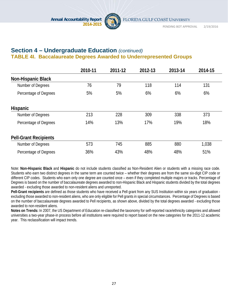

# **Section 4 – Undergraduate Education** *(continued)* **TABLE 4I. Baccalaureate Degrees Awarded to Underrepresented Groups**

|                              | 2010-11 | 2011-12 | 2012-13 | 2013-14 | 2014-15 |
|------------------------------|---------|---------|---------|---------|---------|
| <b>Non-Hispanic Black</b>    |         |         |         |         |         |
| Number of Degrees            | 76      | 79      | 118     | 114     | 131     |
| Percentage of Degrees        | 5%      | 5%      | 6%      | 6%      | 6%      |
| <b>Hispanic</b>              |         |         |         |         |         |
| Number of Degrees            | 213     | 228     | 309     | 338     | 373     |
| Percentage of Degrees        | 14%     | 13%     | 17%     | 19%     | 18%     |
| <b>Pell-Grant Recipients</b> |         |         |         |         |         |
| Number of Degrees            | 573     | 745     | 885     | 880     | 1,038   |
| Percentage of Degrees        | 36%     | 43%     | 48%     | 48%     | 51%     |

Note: **Non-Hispanic Black** and **Hispanic** do not include students classified as Non-Resident Alien or students with a missing race code. Students who earn two distinct degrees in the same term are counted twice – whether their degrees are from the same six-digit CIP code or different CIP codes. Students who earn only one degree are counted once – even if they completed multiple majors or tracks. Percentage of Degrees is based on the number of baccalaureate degrees awarded to non-Hispanic Black and Hispanic students divided by the total degrees awarded - excluding those awarded to non-resident aliens and unreported.

**Pell-Grant recipients** are defined as those students who have received a Pell grant from any SUS Institution within six years of graduation excluding those awarded to non-resident aliens, who are only eligible for Pell grants in special circumstances. Percentage of Degrees is based on the number of baccalaureate degrees awarded to Pell recipients, as shown above, divided by the total degrees awarded - excluding those awarded to non-resident aliens.

**Notes on Trends:** In 2007, the US Department of Education re-classified the taxonomy for self-reported race/ethnicity categories and allowed universities a two-year phase-in process before all institutions were required to report based on the new categories for the 2011-12 academic year. This reclassification will impact trends.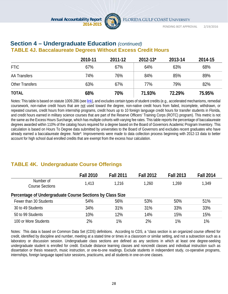

# **Section 4 – Undergraduate Education** *(continued)*  **TABLE 4J. Baccalaureate Degrees Without Excess Credit Hours**

|                        | 2010-11 | 2011-12 | $2012 - 13$ * | 2013-14 | 2014-15 |
|------------------------|---------|---------|---------------|---------|---------|
| <b>FTIC</b>            | 67%     | 67%     | 64%           | 63%     | 68%     |
| <b>AA Transfers</b>    | 74%     | 76%     | 84%           | 85%     | 89%     |
| <b>Other Transfers</b> | 63%     | 67%     | 77%           | 79%     | 82%     |
| <b>TOTAL</b>           | 68%     | 70%     | 71.93%        | 72.29%  | 75.95%  |

Notes: This table is based on statute 1009.286 (see link), and excludes certain types of student credits (e.g., accelerated mechanisms, remedial coursework, non-native credit hours that are not used toward the degree, non-native credit hours from failed, incomplete, withdrawn, or repeated courses, credit hours from internship programs, credit hours up to 10 foreign language credit hours for transfer students in Florida, and credit hours earned in military science courses that are part of the Reserve Officers' Training Corps (ROTC) program). This metric is not the same as the Excess Hours Surcharge, which has multiple cohorts with varying fee rates. This table reports the percentage of baccalaureate degrees awarded within 110% of the catalog hours required for a degree based on the Board of Governors Academic Program Inventory. This calculation is based on Hours To Degree data submitted by universities to the Board of Governors and excludes recent graduates who have already earned a baccalaureate degree. Note\*: Improvements were made to data collection process beginning with 2012-13 data to better account for high school dual enrolled credits that are exempt from the excess hour calculation.

# **TABLE 4K. Undergraduate Course Offerings**

|                                     | <b>Fall 2010</b>                                          | <b>Fall 2011</b> | <b>Fall 2012</b> | <b>Fall 2013</b> | <b>Fall 2014</b> |  |  |  |
|-------------------------------------|-----------------------------------------------------------|------------------|------------------|------------------|------------------|--|--|--|
| Number of<br><b>Course Sections</b> | 1,413                                                     | 1.216            | 1,260            | 1,269            | 1,349            |  |  |  |
|                                     | Percentage of Undergraduate Course Sections by Class Size |                  |                  |                  |                  |  |  |  |
| Fewer than 30 Students              | 54%                                                       | 56%              | 53%              | 50%              | 51%              |  |  |  |
| 30 to 49 Students                   | 34%                                                       | 31%              | 31%              | 33%              | 33%              |  |  |  |
| 50 to 99 Students                   | 10%                                                       | 12%              | 14%              | 15%              | 15%              |  |  |  |
| 100 or More Students                | 2%                                                        | $1\%$            | 2%               | 1%               | 1%               |  |  |  |

Notes: This data is based on Common Data Set (CDS) definitions. According to CDS, a "class section is an organized course offered for credit, identified by discipline and number, meeting at a stated time or times in a classroom or similar setting, and not a subsection such as a laboratory or discussion session. Undergraduate class sections are defined as any sections in which at least one degree-seeking undergraduate student is enrolled for credit. Exclude distance learning classes and noncredit classes and individual instruction such as dissertation or thesis research, music instruction, or one-to-one readings. Exclude students in independent study, co-operative programs, internships, foreign language taped tutor sessions, practicums, and all students in one-on-one classes.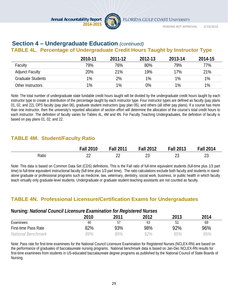

PENDING BOT APPROVAL 2/19/2016

# **Section 4 – Undergraduate Education** *(continued)*

# **TABLE 4L. Percentage of Undergraduate Credit Hours Taught by Instructor Type**

|                          | 2010-11 | 2011-12 | 2012-13 | 2013-14 | 2014-15 |
|--------------------------|---------|---------|---------|---------|---------|
| Faculty                  | 79%     | 76%     | 80%     | 79%     | 77%     |
| <b>Adjunct Faculty</b>   | 20%     | 21%     | 19%     | 17%     | 21%     |
| <b>Graduate Students</b> | 1%      | 2%      | 1%      | $1\%$   | 1%      |
| Other Instructors        | 1%      | 1%      | 0%      | $1\%$   | 1%      |

Note: The total number of undergraduate state fundable credit hours taught will be divided by the undergraduate credit hours taught by each instructor type to create a distribution of the percentage taught by each instructor type. Four instructor types are defined as faculty (pay plans 01, 02, and 22), OPS faculty (pay plan 06), graduate student instructors (pay plan 05), and others (all other pay plans). If a course has more than one instructor, then the university's reported allocation of section effort will determine the allocation of the course's total credit hours to each instructor. The definition of faculty varies for Tables 4L, 4M and 4N. For Faculty Teaching Undergraduates, the definition of faculty is based on pay plans 01, 02, and 22.

# **TABLE 4M. Student/Faculty Ratio**

|       | <b>Fall 2010</b> | <b>Fall 2011</b> | <b>Fall 2012</b> | <b>Fall 2013</b> | <b>Fall 2014</b> |
|-------|------------------|------------------|------------------|------------------|------------------|
| Ratio | ົ<br>__          | ົ<br>__          | $\sim$<br>∠J     | ົ<br>∠J          | $\sim$<br>ں ے    |

Note: This data is based on Common Data Set (CDS) definitions. This is the Fall ratio of full-time equivalent students (full-time plus 1/3 part time) to full-time equivalent instructional faculty (full time plus 1/3 part time). The ratio calculations exclude both faculty and students in standalone graduate or professional programs such as medicine, law, veterinary, dentistry, social work, business, or public health in which faculty teach virtually only graduate-level students. Undergraduate or graduate student teaching assistants are not counted as faculty.

# **TABLE 4N. Professional Licensure/Certification Exams for Undergraduates**

#### **Nursing:** *National Council Licensure Examination for Registered Nurses*

| $\tilde{\phantom{a}}$       |      | . .  |      |      |      |
|-----------------------------|------|------|------|------|------|
|                             | 2010 | 2011 | 2012 | 2013 | 2014 |
| Examinees                   | 60   | 57   | 63   | 51   | 69   |
| <b>First-time Pass Rate</b> | 82%  | 93%  | 98%  | 92%  | 96%  |
| National Benchmark          | 39%  | 89%  | 72%  | 85%  | 85%  |

Note: Pass rate for first-time examinees for the National Council Licensure Examination for Registered Nurses (NCLEX-RN) are based on the performance of graduates of baccalaureate nursing programs. National benchmark data is based on Jan-Dec NCLEX-RN results for first-time examinees from students in US-educated baccalaureate degree programs as published by the National Council of State Boards of Nursing.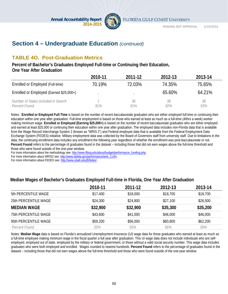

# **Section 4 – Undergraduate Education** *(continued)*

# **TABLE 4O. Post-Graduation Metrics**

#### **Percent of Bachelor's Graduates Employed Full-time or Continuing their Education, One Year After Graduation**

|                                                      | 2010-11 | 2011-12   | 2012-13   | 2013-14       |
|------------------------------------------------------|---------|-----------|-----------|---------------|
| Enrolled or Employed (Full-time)                     | 70.19%  | 72.03%    | 74.35%    | 75.65%        |
| Enrolled or Employed (Earned \$25,000+)              |         |           | 65.60%    | 64.21%        |
| Number of States included in Search<br>Percent Found | 91%     | 36<br>91% | 38<br>92% | 38<br>$9.3\%$ |

Notes: **Enrolled or Employed Full-Time** is based on the number of recent baccalaureate graduates who are either employed full-time or continuing their education within one year after graduation. Full-time employment is based on those who earned at least as much as a full-time (40hrs a week) worker making minimum wage. **Enrolled or Employed (Earning \$25,000+)** is based on the number of recent baccalaureate graduates who are either employed and earned at least \$25,000 or continuing their education within one year after graduation. The employed data includes non-Florida data that is available from the Wage Record Interchange System 2 (known as "WRIS 2") and Federal employee data that is available from the Federal Employment Data Exchange System (FEDES) initiative. Military employment data was collected by the Board of Governors staff from university staff. Due to limitations in the data, the continuing enrollment data includes any enrollment the following year regardless of whether the enrollment was post-baccalaureate or not. Percent Found refers to the percentage of graduates found in the dataset – including those that did not earn wages above the full-time threshold and those who were found outside of the one-year window.

For more information about the methodology see: http://www.flbog.edu/about/budget/performance\_funding.php.

For more information about WRIS2 see: http://www.doleta.gov/performance/wris\_2.cfm.

For more information about FEDES see: http://www.ubalt.edu/jfi/fedes/.

#### **Median Wages of Bachelor's Graduates Employed Full-time in Florida, One Year After Graduation**

|                             | 2010-11  | 2011-12  | 2012-13  | 2013-14  |
|-----------------------------|----------|----------|----------|----------|
| 5th PERCENTILE WAGE         | \$17,400 | \$18,000 | \$18,700 | \$18,700 |
| 25th PERCENTILE WAGE        | \$24,300 | \$24,800 | \$27,100 | \$26,500 |
| <b>MEDIAN WAGE</b>          | \$32,900 | \$32,900 | \$35,300 | \$35,200 |
| <b>75th PERCENTILE WAGE</b> | \$43,600 | \$41,000 | \$46,000 | \$46,000 |
| 95th PERCENTILE WAGE        | \$59,200 | \$56,000 | \$60,800 | \$62,200 |
| Percent Found               | 55%      | 55%      | 56%      | 59%      |

Notes: **Median Wage** data is based on Florida's annualized Unemployment Insurance (UI) wage data for those graduates who earned at least as much as a full-time employee making minimum wage in the fiscal quarter a full year after graduation. This UI wage data does not include individuals who are selfemployed, employed out of state, employed by the military or federal government, or those without a valid social security number. This wage data includes graduates who were both employed and enrolled. Wages rounded to nearest hundreds. **Percent Found** refers to the percentage of graduates found in the dataset – including those that did not earn wages above the full-time threshold and those who were found outside of the one-year window.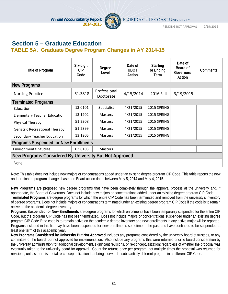

PENDING BOT APPROVAL 2/19/2016

# **Section 5 – Graduate Education TABLE 5A. Graduate Degree Program Changes in AY 2014-15**

| <b>Title of Program</b>                                | Six-digit<br>CIP<br>Code | Degree<br>Level           | Date of<br><b>UBOT</b><br>Action | <b>Starting</b><br>or Ending<br>Term | Date of<br>Board of<br>Governors<br>Action | Comments |
|--------------------------------------------------------|--------------------------|---------------------------|----------------------------------|--------------------------------------|--------------------------------------------|----------|
| <b>New Programs</b>                                    |                          |                           |                                  |                                      |                                            |          |
| <b>Nursing Practice</b>                                | 51.3818                  | Professional<br>Doctorate | 4/15/2014                        | 2016 Fall                            | 3/19/2015                                  |          |
| <b>Terminated Programs</b>                             |                          |                           |                                  |                                      |                                            |          |
| Education                                              | 13.0101                  | Specialist                | 4/21/2015                        | 2015 SPRING                          |                                            |          |
| <b>Elementary Teacher Education</b>                    | 13.1202                  | <b>Masters</b>            | 4/21/2015                        | 2015 SPRING                          |                                            |          |
| Physical Therapy                                       | 51.2308                  | <b>Masters</b>            | 4/21/2015                        | 2015 SPRING                          |                                            |          |
| <b>Geriatric Recreational Therapy</b>                  | 51.2399                  | <b>Masters</b>            | 4/21/2015                        | 2015 SPRING                          |                                            |          |
| Secondary Teacher Education                            | 13.1205                  | <b>Masters</b>            | 4/21/2015                        | 2015 SPRING                          |                                            |          |
| <b>Programs Suspended for New Enrollments</b>          |                          |                           |                                  |                                      |                                            |          |
| <b>Environmental Studies</b>                           | 03.0103                  | <b>Masters</b>            |                                  |                                      |                                            |          |
| New Programs Considered By University But Not Approved |                          |                           |                                  |                                      |                                            |          |
| <b>None</b>                                            |                          |                           |                                  |                                      |                                            |          |

Note: This table does not include new majors or concentrations added under an existing degree program CIP Code. This table reports the new and terminated program changes based on Board action dates between May 5, 2014 and May 4, 2015.

**New Programs** are proposed new degree programs that have been completely through the approval process at the university and, if appropriate, the Board of Governors. Does not include new majors or concentrations added under an existing degree program CIP Code. **Terminated Programs** are degree programs for which the entire CIP Code has been terminated and removed from the university's inventory of degree programs. Does not include majors or concentrations terminated under an existing degree program CIP Code if the code is to remain active on the academic degree inventory.

**Programs Suspended for New Enrollments** are degree programs for which enrollments have been temporarily suspended for the entire CIP Code, but the program CIP Code has not been terminated. Does not include majors or concentrations suspended under an existing degree program CIP Code if the code is to remain active on the academic degree inventory and new enrollments in any active major will be reported. Programs included in this list may have been suspended for new enrollments sometime in the past and have continued to be suspended at least one term of this academic year.

**New Programs Considered by University But Not Approved** includes any programs considered by the university board of trustees, or any committee of the board, but not approved for implementation. Also include any programs that were returned prior to board consideration by the university administration for additional development, significant revisions, or re-conceptualization; regardless of whether the proposal was eventually taken to the university board for approval. Count the returns once per program, not multiple times the proposal was returned for revisions, unless there is a total re-conceptualization that brings forward a substantially different program in a different CIP Code.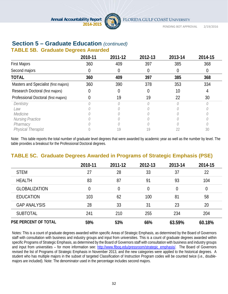

# **Section 5 – Graduate Education** *(continued)*

## **TABLE 5B. Graduate Degrees Awarded**

|                                       | 2010-11 | 2011-12 | 2012-13 | 2013-14 | 2014-15 |
|---------------------------------------|---------|---------|---------|---------|---------|
| <b>First Majors</b>                   | 360     | 409     | 397     | 385     | 368     |
| Second majors                         |         | 0       | 0       |         |         |
| <b>TOTAL</b>                          | 360     | 409     | 397     | 385     | 368     |
| Masters and Specialist (first majors) | 360     | 390     | 378     | 353     | 334     |
| Research Doctoral (first majors)      |         |         | 0       | 10      |         |
| Professional Doctoral (first majors)  |         | 19      | 19      | 22      | 30      |
| Dentistry                             |         |         |         |         |         |
| Law                                   |         |         |         |         |         |
| Medicine                              |         |         |         |         |         |
| Nursing Practice                      |         |         |         |         |         |
| Pharmacy                              |         |         |         |         |         |
| <b>Physical Therapist</b>             |         | 19      |         |         | 30      |

Note: This table reports the total number of graduate level degrees that were awarded by academic year as well as the number by level. The table provides a breakout for the Professional Doctoral degrees.

# **TABLE 5C. Graduate Degrees Awarded in Programs of Strategic Emphasis (PSE)**

|                             | 2010-11 | 2011-12 | 2012-13        | 2013-14 | 2014-15 |
|-----------------------------|---------|---------|----------------|---------|---------|
| <b>STEM</b>                 | 27      | 28      | 33             | 37      | 22      |
| <b>HEALTH</b>               | 83      | 87      | 91             | 93      | 104     |
| <b>GLOBALIZATION</b>        | 0       | 0       | $\overline{0}$ | 0       | 0       |
| <b>EDUCATION</b>            | 103     | 62      | 100            | 81      | 58      |
| <b>GAP ANALYSIS</b>         | 28      | 33      | 31             | 23      | 20      |
| <b>SUBTOTAL</b>             | 241     | 210     | 255            | 234     | 204     |
| <b>PSE PERCENT OF TOTAL</b> | 59%     | 53%     | 66%            | 63.59%  | 60.18%  |

Notes: This is a count of graduate degrees awarded within specific Areas of Strategic Emphasis, as determined by the Board of Governors staff with consultation with business and industry groups and input from universities. This is a count of graduate degrees awarded within specific Programs of Strategic Emphasis, as determined by the Board of Governors staff with consultation with business and industry groups and input from universities – for more information see: http://www.flbog.edu/pressroom/strategic\_emphasis/. The Board of Governors revised the list of Programs of Strategic Emphasis in November 2013, and the new categories were applied to the historical degrees. A student who has multiple majors in the subset of targeted Classification of Instruction Program codes will be counted twice (i.e., doublemajors are included). Note: The denominator used in the percentage includes second majors.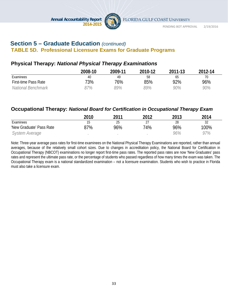

## **Section 5 – Graduate Education** *(continued)*  **TABLE 5D. Professional Licensure Exams for Graduate Programs**

# **Physical Therapy:** *National Physical Therapy Examinations*

|                             | 2008-10 | 2009-11 | 2010-12 | 2011-13 | 2012-14 |
|-----------------------------|---------|---------|---------|---------|---------|
| Examinees                   | 40      | 49      | 58      | ხა      | 70      |
| <b>First-time Pass Rate</b> | 73%     | 76%     | 85%     | 92%     | 96%     |
| National Benchmark          | 97%     | 89%     | 39%     | 90%     | 90%     |

# **Occupational Therapy:** *National Board for Certification in Occupational Therapy Exam*

|                          | 2010 | 2011 | 2012                      | 2013 | 2014 |
|--------------------------|------|------|---------------------------|------|------|
| Examinees                |      | 25   | $\mathcal{L}$<br><u>.</u> | 28   | 32   |
| 'New Graduate' Pass Rate | 87%  | 96%  | 74%                       | 96%  | 100% |
| <i>System Average</i>    |      |      |                           | 96%  | 97%  |

Note: Three-year average pass rates for first-time examinees on the National Physical Therapy Examinations are reported, rather than annual averages, because of the relatively small cohort sizes. Due to changes in accreditation policy, the National Board for Certification in Occupational Therapy (NBCOT) examinations no longer report first-time pass rates. The reported pass rates are now 'New Graduates' pass rates and represent the ultimate pass rate, or the percentage of students who passed regardless of how many times the exam was taken. The Occupational Therapy exam is a national standardized examination – not a licensure examination. Students who wish to practice in Florida must also take a licensure exam.